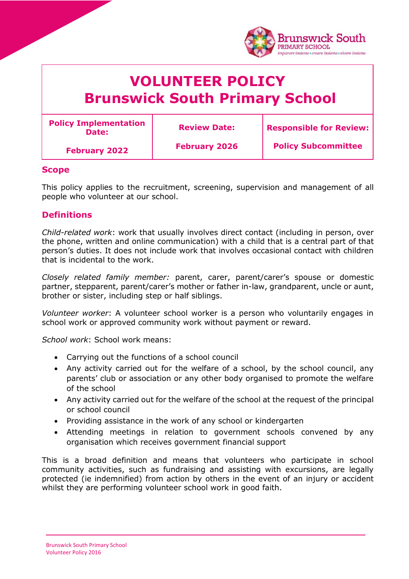|  | <b>Brunswick South</b><br><b>PRIMARY SCHOOL</b><br>imparare insieme • creare insieme • vivere insieme<br><b>VOLUNTEER POLICY</b><br><b>Brunswick South Primary School</b> |                      |                                |
|--|---------------------------------------------------------------------------------------------------------------------------------------------------------------------------|----------------------|--------------------------------|
|  |                                                                                                                                                                           |                      |                                |
|  | <b>Policy Implementation</b><br>Date:                                                                                                                                     | <b>Review Date:</b>  | <b>Responsible for Review:</b> |
|  | <b>February 2022</b>                                                                                                                                                      | <b>February 2026</b> | <b>Policy Subcommittee</b>     |

### **Scope**

This policy applies to the recruitment, screening, supervision and management of all people who volunteer at our school.

### **Definitions**

*Child-related work*: work that usually involves direct contact (including in person, over the phone, written and online communication) with a child that is a central part of that person's duties. It does not include work that involves occasional contact with children that is incidental to the work.

*Closely related family member:* parent, carer, parent/carer's spouse or domestic partner, stepparent, parent/carer's mother or father in-law, grandparent, uncle or aunt, brother or sister, including step or half siblings.

*Volunteer worker*: A volunteer school worker is a person who voluntarily engages in school work or approved community work without payment or reward.

*School work*: School work means:

- Carrying out the functions of a school council
- Any activity carried out for the welfare of a school, by the school council, any parents' club or association or any other body organised to promote the welfare of the school
- Any activity carried out for the welfare of the school at the request of the principal or school council
- Providing assistance in the work of any school or kindergarten
- Attending meetings in relation to government schools convened by any organisation which receives government financial support

This is a broad definition and means that volunteers who participate in school community activities, such as fundraising and assisting with excursions, are legally protected (ie indemnified) from action by others in the event of an injury or accident whilst they are performing volunteer school work in good faith.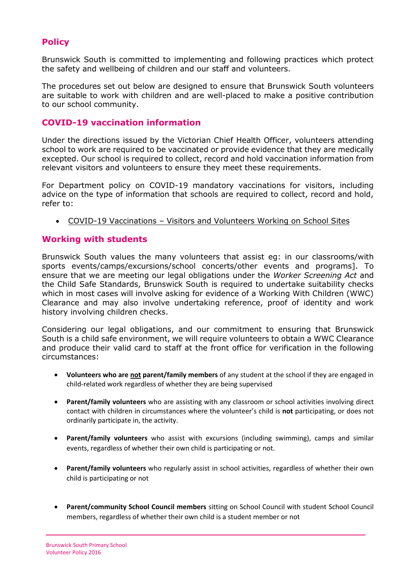# **Policy**

Brunswick South is committed to implementing and following practices which protect the safety and wellbeing of children and our staff and volunteers.

The procedures set out below are designed to ensure that Brunswick South volunteers are suitable to work with children and are well-placed to make a positive contribution to our school community.

### **COVID-19 vaccination information**

Under the directions issued by the Victorian Chief Health Officer, volunteers attending school to work are required to be vaccinated or provide evidence that they are medically excepted. Our school is required to collect, record and hold vaccination information from relevant visitors and volunteers to ensure they meet these requirements.

For Department policy on COVID-19 mandatory vaccinations for visitors, including advice on the type of information that schools are required to collect, record and hold, refer to:

COVID-19 Vaccinations – [Visitors and Volunteers Working on School Sites](https://www2.education.vic.gov.au/pal/covid-19-vaccinations-visitors-volunteers/policy)

#### **Working with students**

Brunswick South values the many volunteers that assist eg: in our classrooms/with sports events/camps/excursions/school concerts/other events and programs]. To ensure that we are meeting our legal obligations under the *Worker Screening Act* and the Child Safe Standards, Brunswick South is required to undertake suitability checks which in most cases will involve asking for evidence of a Working With Children (WWC) Clearance and may also involve undertaking reference, proof of identity and work history involving children checks.

Considering our legal obligations, and our commitment to ensuring that Brunswick South is a child safe environment, we will require volunteers to obtain a WWC Clearance and produce their valid card to staff at the front office for verification in the following circumstances:

- **Volunteers who are not parent/family members** of any student at the school if they are engaged in child-related work regardless of whether they are being supervised
- **Parent/family volunteers** who are assisting with any classroom or school activities involving direct contact with children in circumstances where the volunteer's child is **not** participating, or does not ordinarily participate in, the activity.
- **Parent/family volunteers** who assist with excursions (including swimming), camps and similar events, regardless of whether their own child is participating or not.
- **Parent/family volunteers** who regularly assist in school activities, regardless of whether their own child is participating or not
- **Parent/community School Council members** sitting on School Council with student School Council members, regardless of whether their own child is a student member or not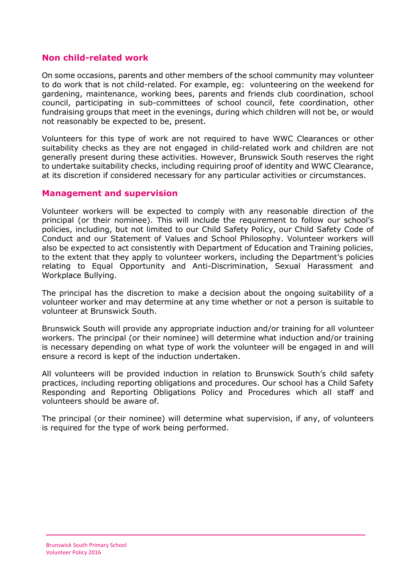## **Non child-related work**

On some occasions, parents and other members of the school community may volunteer to do work that is not child-related. For example, eg: volunteering on the weekend for gardening, maintenance, working bees, parents and friends club coordination, school council, participating in sub-committees of school council, fete coordination, other fundraising groups that meet in the evenings, during which children will not be, or would not reasonably be expected to be, present.

Volunteers for this type of work are not required to have WWC Clearances or other suitability checks as they are not engaged in child-related work and children are not generally present during these activities. However, Brunswick South reserves the right to undertake suitability checks, including requiring proof of identity and WWC Clearance, at its discretion if considered necessary for any particular activities or circumstances.

### **Management and supervision**

Volunteer workers will be expected to comply with any reasonable direction of the principal (or their nominee). This will include the requirement to follow our school's policies, including, but not limited to our Child Safety Policy, our Child Safety Code of Conduct and our Statement of Values and School Philosophy. Volunteer workers will also be expected to act consistently with Department of Education and Training policies, to the extent that they apply to volunteer workers, including the Department's policies relating to Equal Opportunity and Anti-Discrimination, Sexual Harassment and Workplace Bullying.

The principal has the discretion to make a decision about the ongoing suitability of a volunteer worker and may determine at any time whether or not a person is suitable to volunteer at Brunswick South.

Brunswick South will provide any appropriate induction and/or training for all volunteer workers. The principal (or their nominee) will determine what induction and/or training is necessary depending on what type of work the volunteer will be engaged in and will ensure a record is kept of the induction undertaken.

All volunteers will be provided induction in relation to Brunswick South's child safety practices, including reporting obligations and procedures. Our school has a Child Safety Responding and Reporting Obligations Policy and Procedures which all staff and volunteers should be aware of.

The principal (or their nominee) will determine what supervision, if any, of volunteers is required for the type of work being performed.